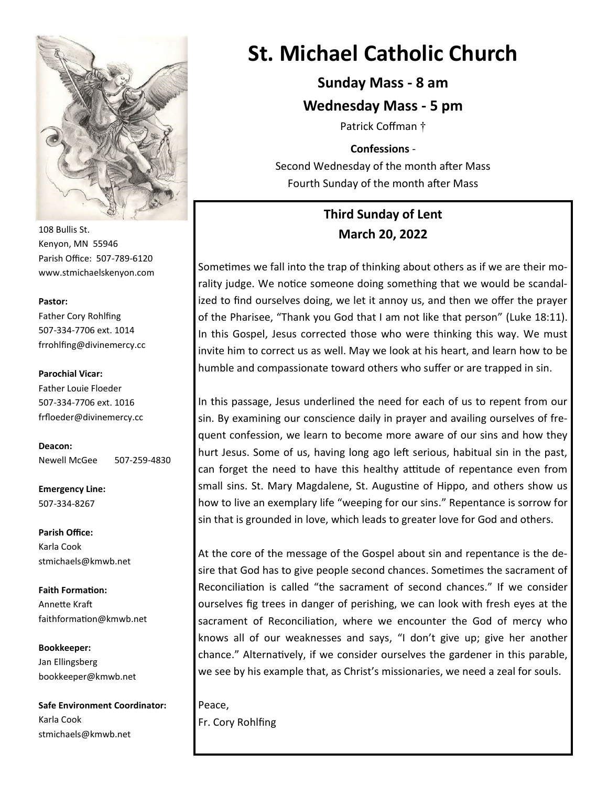

108 Bullis St. Kenyon, MN 55946 Parish Office: 507-789-6120 www.stmichaelskenyon.com

#### **Pastor:**

Father Cory Rohlfing 507-334-7706 ext. 1014 frrohlfing@divinemercy.cc

#### **Parochial Vicar:**

Father Louie Floeder 507-334-7706 ext. 1016 frfloeder@divinemercy.cc

**Deacon:**  Newell McGee 507-259-4830

**Emergency Line:** 507-334-8267

**Parish Office:**  Karla Cook stmichaels@kmwb.net

**Faith Formation:**  Annette Kraft faithformation@kmwb.net

**Bookkeeper:**  Jan Ellingsberg bookkeeper@kmwb.net

**Safe Environment Coordinator:** Karla Cook stmichaels@kmwb.net

# **St. Michael Catholic Church**

**Sunday Mass - 8 am**

**Wednesday Mass - 5 pm** 

Patrick Coffman †

**Confessions** -

Second Wednesday of the month after Mass Fourth Sunday of the month after Mass

## **Third Sunday of Lent March 20, 2022**

Sometimes we fall into the trap of thinking about others as if we are their morality judge. We notice someone doing something that we would be scandalized to find ourselves doing, we let it annoy us, and then we offer the prayer of the Pharisee, "Thank you God that I am not like that person" (Luke 18:11). In this Gospel, Jesus corrected those who were thinking this way. We must invite him to correct us as well. May we look at his heart, and learn how to be humble and compassionate toward others who suffer or are trapped in sin.

In this passage, Jesus underlined the need for each of us to repent from our sin. By examining our conscience daily in prayer and availing ourselves of frequent confession, we learn to become more aware of our sins and how they hurt Jesus. Some of us, having long ago left serious, habitual sin in the past, can forget the need to have this healthy attitude of repentance even from small sins. St. Mary Magdalene, St. Augustine of Hippo, and others show us how to live an exemplary life "weeping for our sins." Repentance is sorrow for sin that is grounded in love, which leads to greater love for God and others.

At the core of the message of the Gospel about sin and repentance is the desire that God has to give people second chances. Sometimes the sacrament of Reconciliation is called "the sacrament of second chances." If we consider ourselves fig trees in danger of perishing, we can look with fresh eyes at the sacrament of Reconciliation, where we encounter the God of mercy who knows all of our weaknesses and says, "I don't give up; give her another chance." Alternatively, if we consider ourselves the gardener in this parable, we see by his example that, as Christ's missionaries, we need a zeal for souls.

Peace, Fr. Cory Rohlfing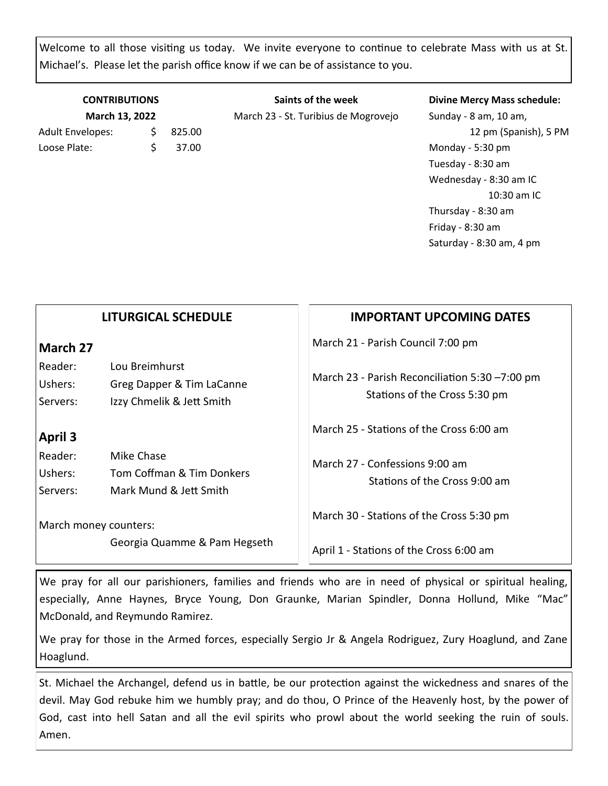Welcome to all those visiting us today. We invite everyone to continue to celebrate Mass with us at St. Michael's. Please let the parish office know if we can be of assistance to you.

| <b>CONTRIBUTIONS</b><br>March 13, 2022 |        | Saints of the week<br>March 23 - St. Turibius de Mogrovejo | <b>Divine Mercy Mass schedule:</b><br>Sunday - 8 am, 10 am, |
|----------------------------------------|--------|------------------------------------------------------------|-------------------------------------------------------------|
|                                        |        |                                                            |                                                             |
| Adult Envelopes:                       | 825.00 |                                                            | 12 pm (Spanish), 5 PM                                       |
| Loose Plate:                           | 37.00  |                                                            | Monday - 5:30 pm                                            |
|                                        |        |                                                            | Tuesday - 8:30 am                                           |
|                                        |        |                                                            | Wednesday - 8:30 am IC                                      |
|                                        |        |                                                            | 10:30 am IC                                                 |

Thursday - 8:30 am Friday - 8:30 am Saturday - 8:30 am, 4 pm

|                                                  | <b>LITURGICAL SCHEDULE</b>                                               | <b>IMPORTANT UPCOMING DATES</b>                                                                                      |
|--------------------------------------------------|--------------------------------------------------------------------------|----------------------------------------------------------------------------------------------------------------------|
| March 27<br>Reader:<br>Ushers:<br>Servers:       | Lou Breimhurst<br>Greg Dapper & Tim LaCanne<br>Izzy Chmelik & Jett Smith | March 21 - Parish Council 7:00 pm<br>March 23 - Parish Reconciliation 5:30 -7:00 pm<br>Stations of the Cross 5:30 pm |
| <b>April 3</b><br>Reader:<br>Ushers:<br>Servers: | Mike Chase<br>Tom Coffman & Tim Donkers<br>Mark Mund & Jett Smith        | March 25 - Stations of the Cross 6:00 am<br>March 27 - Confessions 9:00 am<br>Stations of the Cross 9:00 am          |
| March money counters:                            | Georgia Quamme & Pam Hegseth                                             | March 30 - Stations of the Cross 5:30 pm<br>April 1 - Stations of the Cross 6:00 am                                  |

We pray for all our parishioners, families and friends who are in need of physical or spiritual healing, especially, Anne Haynes, Bryce Young, Don Graunke, Marian Spindler, Donna Hollund, Mike "Mac" McDonald, and Reymundo Ramirez.

We pray for those in the Armed forces, especially Sergio Jr & Angela Rodriguez, Zury Hoaglund, and Zane Hoaglund.

St. Michael the Archangel, defend us in battle, be our protection against the wickedness and snares of the devil. May God rebuke him we humbly pray; and do thou, O Prince of the Heavenly host, by the power of God, cast into hell Satan and all the evil spirits who prowl about the world seeking the ruin of souls. Amen.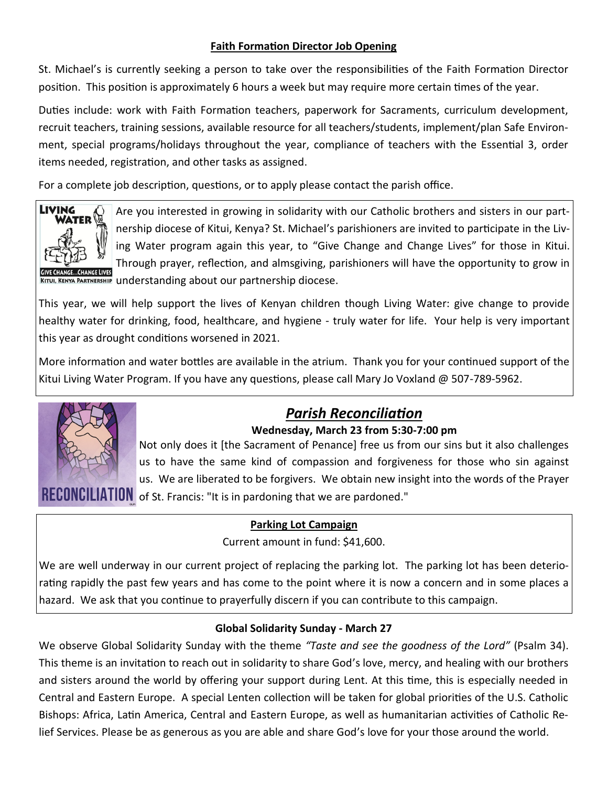### **Faith Formation Director Job Opening**

St. Michael's is currently seeking a person to take over the responsibilities of the Faith Formation Director position. This position is approximately 6 hours a week but may require more certain times of the year.

Duties include: work with Faith Formation teachers, paperwork for Sacraments, curriculum development, recruit teachers, training sessions, available resource for all teachers/students, implement/plan Safe Environment, special programs/holidays throughout the year, compliance of teachers with the Essential 3, order items needed, registration, and other tasks as assigned.

For a complete job description, questions, or to apply please contact the parish office.



Are you interested in growing in solidarity with our Catholic brothers and sisters in our partnership diocese of Kitui, Kenya? St. Michael's parishioners are invited to participate in the Living Water program again this year, to "Give Change and Change Lives" for those in Kitui. Through prayer, reflection, and almsgiving, parishioners will have the opportunity to grow in KITUI, KENYA PARTNERSHIP understanding about our partnership diocese.

This year, we will help support the lives of Kenyan children though Living Water: give change to provide healthy water for drinking, food, healthcare, and hygiene - truly water for life. Your help is very important this year as drought conditions worsened in 2021.

More information and water bottles are available in the atrium. Thank you for your continued support of the Kitui Living Water Program. If you have any questions, please call Mary Jo Voxland @ 507-789-5962.



## *Parish Reconciliation*

#### **Wednesday, March 23 from 5:30-7:00 pm**

Not only does it [the Sacrament of Penance] free us from our sins but it also challenges us to have the same kind of compassion and forgiveness for those who sin against us. We are liberated to be forgivers. We obtain new insight into the words of the Prayer **GILIA HUN** of St. Francis: "It is in pardoning that we are pardoned."

#### **Parking Lot Campaign**

Current amount in fund: \$41,600.

We are well underway in our current project of replacing the parking lot. The parking lot has been deteriorating rapidly the past few years and has come to the point where it is now a concern and in some places a hazard. We ask that you continue to prayerfully discern if you can contribute to this campaign.

### **Global Solidarity Sunday - March 27**

We observe Global Solidarity Sunday with the theme *"Taste and see the goodness of the Lord"* (Psalm 34). This theme is an invitation to reach out in solidarity to share God's love, mercy, and healing with our brothers and sisters around the world by offering your support during Lent. At this time, this is especially needed in Central and Eastern Europe. A special Lenten collection will be taken for global priorities of the U.S. Catholic Bishops: Africa, Latin America, Central and Eastern Europe, as well as humanitarian activities of Catholic Relief Services. Please be as generous as you are able and share God's love for your those around the world.